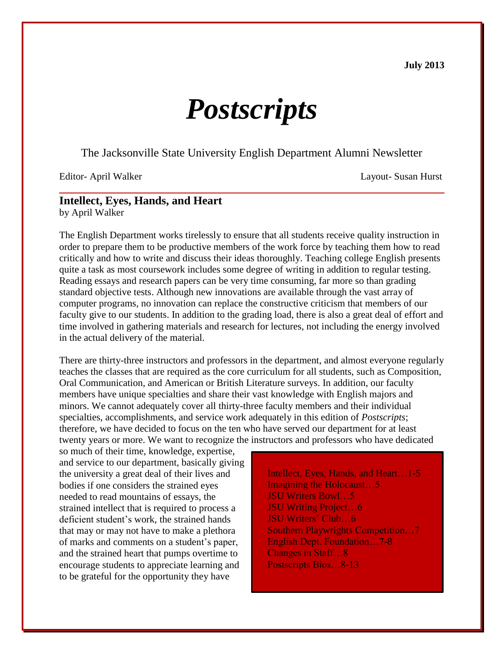**July 2013**

# *Postscripts*

The Jacksonville State University English Department Alumni Newsletter

Editor- April Walker Layout- Susan Hurst

## **Intellect, Eyes, Hands, and Heart**

by April Walker

The English Department works tirelessly to ensure that all students receive quality instruction in order to prepare them to be productive members of the work force by teaching them how to read critically and how to write and discuss their ideas thoroughly. Teaching college English presents quite a task as most coursework includes some degree of writing in addition to regular testing. Reading essays and research papers can be very time consuming, far more so than grading standard objective tests. Although new innovations are available through the vast array of computer programs, no innovation can replace the constructive criticism that members of our faculty give to our students. In addition to the grading load, there is also a great deal of effort and time involved in gathering materials and research for lectures, not including the energy involved in the actual delivery of the material.

There are thirty-three instructors and professors in the department, and almost everyone regularly teaches the classes that are required as the core curriculum for all students, such as Composition, Oral Communication, and American or British Literature surveys. In addition, our faculty members have unique specialties and share their vast knowledge with English majors and minors. We cannot adequately cover all thirty-three faculty members and their individual specialties, accomplishments, and service work adequately in this edition of *Postscripts*; therefore, we have decided to focus on the ten who have served our department for at least twenty years or more. We want to recognize the instructors and professors who have dedicated

so much of their time, knowledge, expertise, and service to our department, basically giving the university a great deal of their lives and bodies if one considers the strained eyes needed to read mountains of essays, the strained intellect that is required to process a deficient student's work, the strained hands that may or may not have to make a plethora of marks and comments on a student's paper, and the strained heart that pumps overtime to encourage students to appreciate learning and to be grateful for the opportunity they have

Intellect, Eyes, Hands, and Heart…1-5 Imagining the Holocaust…5 JSU Writers Bowl…5 JSU Writing Project…6 JSU Writers' Club…6 Southern Playwrights Competition…7 English Dept. Foundation…7-8 Changes in Staff…8 Postscripts Bios…8-13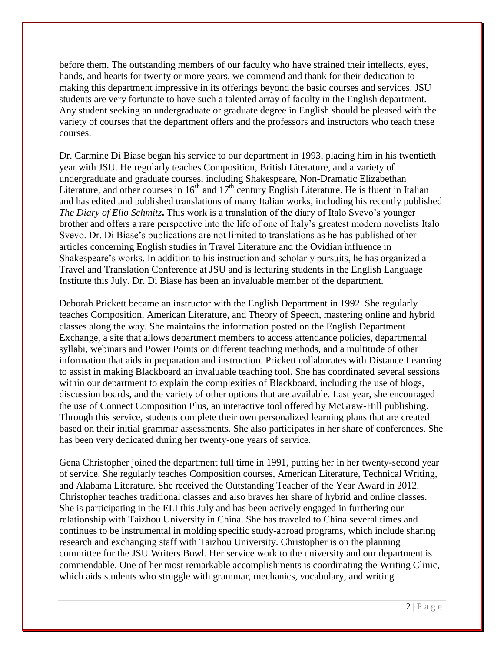before them. The outstanding members of our faculty who have strained their intellects, eyes, hands, and hearts for twenty or more years, we commend and thank for their dedication to making this department impressive in its offerings beyond the basic courses and services. JSU students are very fortunate to have such a talented array of faculty in the English department. Any student seeking an undergraduate or graduate degree in English should be pleased with the variety of courses that the department offers and the professors and instructors who teach these courses.

Dr. Carmine Di Biase began his service to our department in 1993, placing him in his twentieth year with JSU. He regularly teaches Composition, British Literature, and a variety of undergraduate and graduate courses, including Shakespeare, Non-Dramatic Elizabethan Literature, and other courses in  $16<sup>th</sup>$  and  $17<sup>th</sup>$  century English Literature. He is fluent in Italian and has edited and published translations of many Italian works, including his recently published *The Diary of Elio Schmitz***.** This work is a translation of the diary of Italo Svevo's younger brother and offers a rare perspective into the life of one of Italy's greatest modern novelists Italo Svevo. Dr. Di Biase's publications are not limited to translations as he has published other articles concerning English studies in Travel Literature and the Ovidian influence in Shakespeare's works. In addition to his instruction and scholarly pursuits, he has organized a Travel and Translation Conference at JSU and is lecturing students in the English Language Institute this July. Dr. Di Biase has been an invaluable member of the department.

Deborah Prickett became an instructor with the English Department in 1992. She regularly teaches Composition, American Literature, and Theory of Speech, mastering online and hybrid classes along the way. She maintains the information posted on the English Department Exchange, a site that allows department members to access attendance policies, departmental syllabi, webinars and Power Points on different teaching methods, and a multitude of other information that aids in preparation and instruction. Prickett collaborates with Distance Learning to assist in making Blackboard an invaluable teaching tool. She has coordinated several sessions within our department to explain the complexities of Blackboard, including the use of blogs, discussion boards, and the variety of other options that are available. Last year, she encouraged the use of Connect Composition Plus, an interactive tool offered by McGraw-Hill publishing. Through this service, students complete their own personalized learning plans that are created based on their initial grammar assessments. She also participates in her share of conferences. She has been very dedicated during her twenty-one years of service.

Gena Christopher joined the department full time in 1991, putting her in her twenty-second year of service. She regularly teaches Composition courses, American Literature, Technical Writing, and Alabama Literature. She received the Outstanding Teacher of the Year Award in 2012. Christopher teaches traditional classes and also braves her share of hybrid and online classes. She is participating in the ELI this July and has been actively engaged in furthering our relationship with Taizhou University in China. She has traveled to China several times and continues to be instrumental in molding specific study-abroad programs, which include sharing research and exchanging staff with Taizhou University. Christopher is on the planning committee for the JSU Writers Bowl. Her service work to the university and our department is commendable. One of her most remarkable accomplishments is coordinating the Writing Clinic, which aids students who struggle with grammar, mechanics, vocabulary, and writing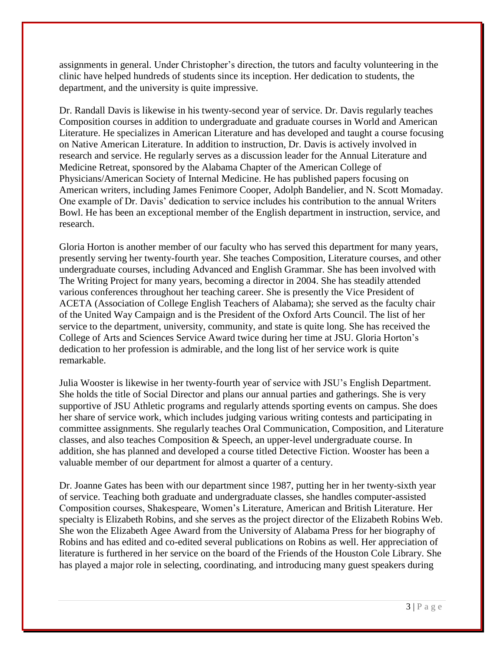assignments in general. Under Christopher's direction, the tutors and faculty volunteering in the clinic have helped hundreds of students since its inception. Her dedication to students, the department, and the university is quite impressive.

Dr. Randall Davis is likewise in his twenty-second year of service. Dr. Davis regularly teaches Composition courses in addition to undergraduate and graduate courses in World and American Literature. He specializes in American Literature and has developed and taught a course focusing on Native American Literature. In addition to instruction, Dr. Davis is actively involved in research and service. He regularly serves as a discussion leader for the Annual Literature and Medicine Retreat, sponsored by the Alabama Chapter of the American College of Physicians/American Society of Internal Medicine. He has published papers focusing on American writers, including James Fenimore Cooper, Adolph Bandelier, and N. Scott Momaday. One example of Dr. Davis' dedication to service includes his contribution to the annual Writers Bowl. He has been an exceptional member of the English department in instruction, service, and research.

Gloria Horton is another member of our faculty who has served this department for many years, presently serving her twenty-fourth year. She teaches Composition, Literature courses, and other undergraduate courses, including Advanced and English Grammar. She has been involved with The Writing Project for many years, becoming a director in 2004. She has steadily attended various conferences throughout her teaching career. She is presently the Vice President of ACETA (Association of College English Teachers of Alabama); she served as the faculty chair of the United Way Campaign and is the President of the Oxford Arts Council. The list of her service to the department, university, community, and state is quite long. She has received the College of Arts and Sciences Service Award twice during her time at JSU. Gloria Horton's dedication to her profession is admirable, and the long list of her service work is quite remarkable.

Julia Wooster is likewise in her twenty-fourth year of service with JSU's English Department. She holds the title of Social Director and plans our annual parties and gatherings. She is very supportive of JSU Athletic programs and regularly attends sporting events on campus. She does her share of service work, which includes judging various writing contests and participating in committee assignments. She regularly teaches Oral Communication, Composition, and Literature classes, and also teaches Composition & Speech, an upper-level undergraduate course. In addition, she has planned and developed a course titled Detective Fiction. Wooster has been a valuable member of our department for almost a quarter of a century.

Dr. Joanne Gates has been with our department since 1987, putting her in her twenty-sixth year of service. Teaching both graduate and undergraduate classes, she handles computer-assisted Composition courses, Shakespeare, Women's Literature, American and British Literature. Her specialty is Elizabeth Robins, and she serves as the project director of the Elizabeth Robins Web. She won the Elizabeth Agee Award from the University of Alabama Press for her biography of Robins and has edited and co-edited several publications on Robins as well. Her appreciation of literature is furthered in her service on the board of the Friends of the Houston Cole Library. She has played a major role in selecting, coordinating, and introducing many guest speakers during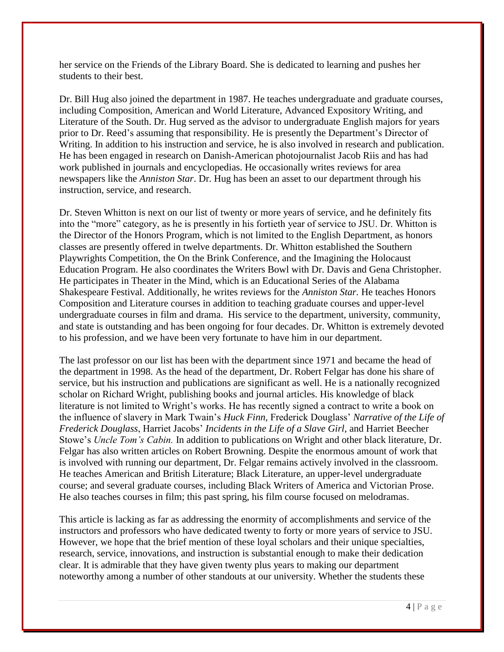her service on the Friends of the Library Board. She is dedicated to learning and pushes her students to their best.

Dr. Bill Hug also joined the department in 1987. He teaches undergraduate and graduate courses, including Composition, American and World Literature, Advanced Expository Writing, and Literature of the South. Dr. Hug served as the advisor to undergraduate English majors for years prior to Dr. Reed's assuming that responsibility. He is presently the Department's Director of Writing. In addition to his instruction and service, he is also involved in research and publication. He has been engaged in research on Danish-American photojournalist Jacob Riis and has had work published in journals and encyclopedias. He occasionally writes reviews for area newspapers like the *Anniston Star*. Dr. Hug has been an asset to our department through his instruction, service, and research.

Dr. Steven Whitton is next on our list of twenty or more years of service, and he definitely fits into the "more" category, as he is presently in his fortieth year of service to JSU. Dr. Whitton is the Director of the Honors Program, which is not limited to the English Department, as honors classes are presently offered in twelve departments. Dr. Whitton established the Southern Playwrights Competition, the On the Brink Conference, and the Imagining the Holocaust Education Program. He also coordinates the Writers Bowl with Dr. Davis and Gena Christopher. He participates in Theater in the Mind, which is an Educational Series of the Alabama Shakespeare Festival. Additionally, he writes reviews for the *Anniston Star.* He teaches Honors Composition and Literature courses in addition to teaching graduate courses and upper-level undergraduate courses in film and drama. His service to the department, university, community, and state is outstanding and has been ongoing for four decades. Dr. Whitton is extremely devoted to his profession, and we have been very fortunate to have him in our department.

The last professor on our list has been with the department since 1971 and became the head of the department in 1998. As the head of the department, Dr. Robert Felgar has done his share of service, but his instruction and publications are significant as well. He is a nationally recognized scholar on Richard Wright, publishing books and journal articles. His knowledge of black literature is not limited to Wright's works. He has recently signed a contract to write a book on the influence of slavery in Mark Twain's *Huck Finn,* Frederick Douglass' *Narrative of the Life of Frederick Douglass*, Harriet Jacobs' *Incidents in the Life of a Slave Girl,* and Harriet Beecher Stowe's *Uncle Tom's Cabin.* In addition to publications on Wright and other black literature, Dr. Felgar has also written articles on Robert Browning. Despite the enormous amount of work that is involved with running our department, Dr. Felgar remains actively involved in the classroom. He teaches American and British Literature; Black Literature, an upper-level undergraduate course; and several graduate courses, including Black Writers of America and Victorian Prose. He also teaches courses in film; this past spring, his film course focused on melodramas.

This article is lacking as far as addressing the enormity of accomplishments and service of the instructors and professors who have dedicated twenty to forty or more years of service to JSU. However, we hope that the brief mention of these loyal scholars and their unique specialties, research, service, innovations, and instruction is substantial enough to make their dedication clear. It is admirable that they have given twenty plus years to making our department noteworthy among a number of other standouts at our university. Whether the students these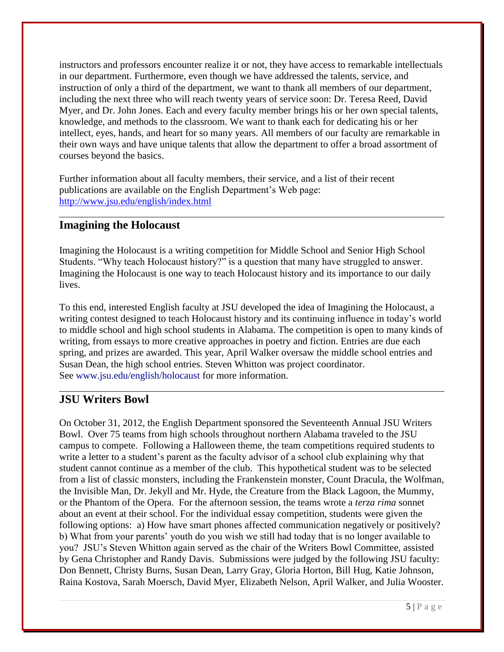instructors and professors encounter realize it or not, they have access to remarkable intellectuals in our department. Furthermore, even though we have addressed the talents, service, and instruction of only a third of the department, we want to thank all members of our department, including the next three who will reach twenty years of service soon: Dr. Teresa Reed, David Myer, and Dr. John Jones. Each and every faculty member brings his or her own special talents, knowledge, and methods to the classroom. We want to thank each for dedicating his or her intellect, eyes, hands, and heart for so many years. All members of our faculty are remarkable in their own ways and have unique talents that allow the department to offer a broad assortment of courses beyond the basics.

Further information about all faculty members, their service, and a list of their recent publications are available on the English Department's Web page: <http://www.jsu.edu/english/index.html>

## **Imagining the Holocaust**

Imagining the Holocaust is a writing competition for Middle School and Senior High School Students. "Why teach Holocaust history?" is a question that many have struggled to answer. Imagining the Holocaust is one way to teach Holocaust history and its importance to our daily lives.

To this end, interested English faculty at JSU developed the idea of Imagining the Holocaust, a writing contest designed to teach Holocaust history and its continuing influence in today's world to middle school and high school students in Alabama. The competition is open to many kinds of writing, from essays to more creative approaches in poetry and fiction. Entries are due each spring, and prizes are awarded. This year, April Walker oversaw the middle school entries and Susan Dean, the high school entries. Steven Whitton was project coordinator. See [www.jsu.edu/english/holocaust](http://www.jsu.edu/english/holocaust) for more information.

#### **JSU Writers Bowl**

On October 31, 2012, the English Department sponsored the Seventeenth Annual JSU Writers Bowl. Over 75 teams from high schools throughout northern Alabama traveled to the JSU campus to compete. Following a Halloween theme, the team competitions required students to write a letter to a student's parent as the faculty advisor of a school club explaining why that student cannot continue as a member of the club. This hypothetical student was to be selected from a list of classic monsters, including the Frankenstein monster, Count Dracula, the Wolfman, the Invisible Man, Dr. Jekyll and Mr. Hyde, the Creature from the Black Lagoon, the Mummy, or the Phantom of the Opera. For the afternoon session, the teams wrote a *terza rima* sonnet about an event at their school. For the individual essay competition, students were given the following options: a) How have smart phones affected communication negatively or positively? b) What from your parents' youth do you wish we still had today that is no longer available to you? JSU's Steven Whitton again served as the chair of the Writers Bowl Committee, assisted by Gena Christopher and Randy Davis. Submissions were judged by the following JSU faculty: Don Bennett, Christy Burns, Susan Dean, Larry Gray, Gloria Horton, Bill Hug, Katie Johnson, Raina Kostova, Sarah Moersch, David Myer, Elizabeth Nelson, April Walker, and Julia Wooster.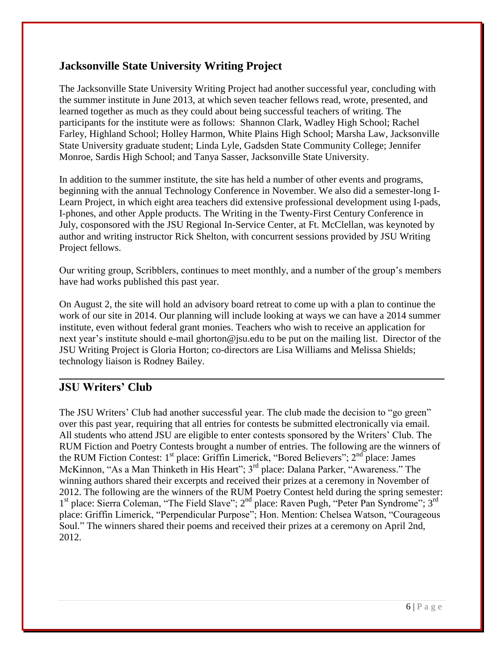## **Jacksonville State University Writing Project**

The Jacksonville State University Writing Project had another successful year, concluding with the summer institute in June 2013, at which seven teacher fellows read, wrote, presented, and learned together as much as they could about being successful teachers of writing. The participants for the institute were as follows: Shannon Clark, Wadley High School; Rachel Farley, Highland School; Holley Harmon, White Plains High School; Marsha Law, Jacksonville State University graduate student; Linda Lyle, Gadsden State Community College; Jennifer Monroe, Sardis High School; and Tanya Sasser, Jacksonville State University.

In addition to the summer institute, the site has held a number of other events and programs, beginning with the annual Technology Conference in November. We also did a semester-long I-Learn Project, in which eight area teachers did extensive professional development using I-pads, I-phones, and other Apple products. The Writing in the Twenty-First Century Conference in July, cosponsored with the JSU Regional In-Service Center, at Ft. McClellan, was keynoted by author and writing instructor Rick Shelton, with concurrent sessions provided by JSU Writing Project fellows.

Our writing group, Scribblers, continues to meet monthly, and a number of the group's members have had works published this past year.

On August 2, the site will hold an advisory board retreat to come up with a plan to continue the work of our site in 2014. Our planning will include looking at ways we can have a 2014 summer institute, even without federal grant monies. Teachers who wish to receive an application for next year's institute should e-mail ghorton@jsu.edu to be put on the mailing list. Director of the JSU Writing Project is Gloria Horton; co-directors are Lisa Williams and Melissa Shields; technology liaison is Rodney Bailey.

### **JSU Writers' Club**

The JSU Writers' Club had another successful year. The club made the decision to "go green" over this past year, requiring that all entries for contests be submitted electronically via email. All students who attend JSU are eligible to enter contests sponsored by the Writers' Club. The RUM Fiction and Poetry Contests brought a number of entries. The following are the winners of the RUM Fiction Contest:  $1<sup>st</sup>$  place: Griffin Limerick, "Bored Believers";  $2<sup>nd</sup>$  place: James McKinnon, "As a Man Thinketh in His Heart"; 3<sup>rd</sup> place: Dalana Parker, "Awareness." The winning authors shared their excerpts and received their prizes at a ceremony in November of 2012. The following are the winners of the RUM Poetry Contest held during the spring semester: 1<sup>st</sup> place: Sierra Coleman, "The Field Slave"; 2<sup>nd</sup> place: Raven Pugh, "Peter Pan Syndrome"; 3<sup>rd</sup> place: Griffin Limerick, "Perpendicular Purpose"; Hon. Mention: Chelsea Watson, "Courageous Soul." The winners shared their poems and received their prizes at a ceremony on April 2nd, 2012.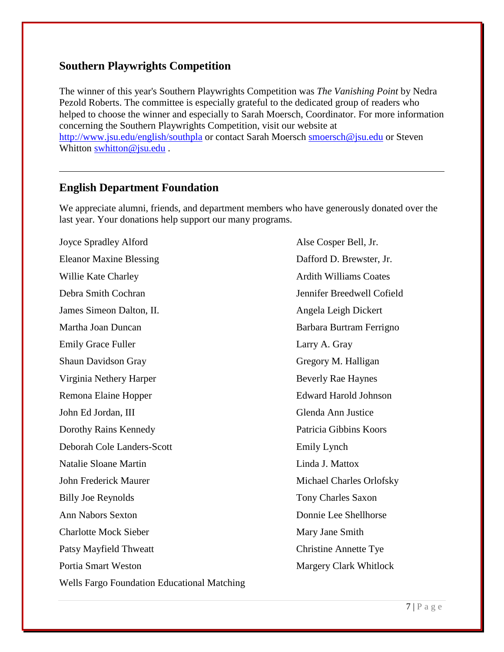#### **Southern Playwrights Competition**

The winner of this year's Southern Playwrights Competition was *The Vanishing Point* by Nedra Pezold Roberts. The committee is especially grateful to the dedicated group of readers who helped to choose the winner and especially to Sarah Moersch, Coordinator. For more information concerning the Southern Playwrights Competition, visit our website at <http://www.jsu.edu/english/southpla> or contact Sarah Moersch [smoersch@jsu.edu](mailto:smoersch@jsu.edu) or Steven Whitton [swhitton@jsu.edu](mailto:swhitton@jsu.edu) .

## **English Department Foundation**

We appreciate alumni, friends, and department members who have generously donated over the last year. Your donations help support our many programs.

Joyce Spradley Alford Alse Cosper Bell, Jr. Eleanor Maxine Blessing **Dafford D. Brewster**, Jr. Willie Kate Charley **Articular Coates** Ardith Williams Coates Debra Smith Cochran Jennifer Breedwell Cofield James Simeon Dalton, II. **Angela Leigh Dickert** Martha Joan Duncan **Barbara Burtram Ferrigno** Emily Grace Fuller Larry A. Gray Shaun Davidson Gray Gregory M. Halligan Virginia Nethery Harper Beverly Rae Haynes Remona Elaine Hopper Edward Harold Johnson John Ed Jordan, III Glenda Ann Justice Dorothy Rains Kennedy Patricia Gibbins Koors Deborah Cole Landers-Scott Emily Lynch Natalie Sloane Martin Linda J. Mattox John Frederick Maurer Michael Charles Orlofsky Billy Joe Reynolds Tony Charles Saxon Ann Nabors Sexton Donnie Lee Shellhorse Charlotte Mock Sieber Mary Jane Smith Patsy Mayfield Thweatt Christine Annette Tye Portia Smart Weston Margery Clark Whitlock Wells Fargo Foundation Educational Matching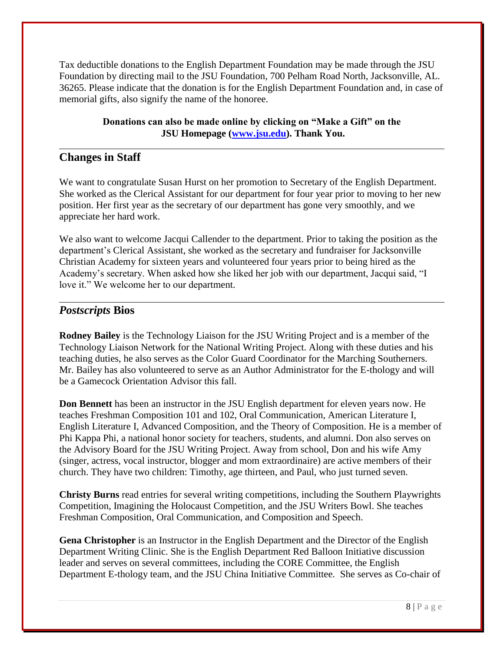Tax deductible donations to the English Department Foundation may be made through the JSU Foundation by directing mail to the JSU Foundation, 700 Pelham Road North, Jacksonville, AL. 36265. Please indicate that the donation is for the English Department Foundation and, in case of memorial gifts, also signify the name of the honoree.

#### **Donations can also be made online by clicking on "Make a Gift" on the JSU Homepage [\(www.jsu.edu\)](http://www.jsu.edu/). Thank You.**

## **Changes in Staff**

We want to congratulate Susan Hurst on her promotion to Secretary of the English Department. She worked as the Clerical Assistant for our department for four year prior to moving to her new position. Her first year as the secretary of our department has gone very smoothly, and we appreciate her hard work.

We also want to welcome Jacqui Callender to the department. Prior to taking the position as the department's Clerical Assistant, she worked as the secretary and fundraiser for Jacksonville Christian Academy for sixteen years and volunteered four years prior to being hired as the Academy's secretary. When asked how she liked her job with our department, Jacqui said, "I love it." We welcome her to our department.

#### *Postscripts* **Bios**

**Rodney Bailey** is the Technology Liaison for the JSU Writing Project and is a member of the Technology Liaison Network for the National Writing Project. Along with these duties and his teaching duties, he also serves as the Color Guard Coordinator for the Marching Southerners. Mr. Bailey has also volunteered to serve as an Author Administrator for the E-thology and will be a Gamecock Orientation Advisor this fall.

**Don Bennett** has been an instructor in the JSU English department for eleven years now. He teaches Freshman Composition 101 and 102, Oral Communication, American Literature I, English Literature I, Advanced Composition, and the Theory of Composition. He is a member of Phi Kappa Phi, a national honor society for teachers, students, and alumni. Don also serves on the Advisory Board for the JSU Writing Project. Away from school, Don and his wife Amy (singer, actress, vocal instructor, blogger and mom extraordinaire) are active members of their church. They have two children: Timothy, age thirteen, and Paul, who just turned seven.

**Christy Burns** read entries for several writing competitions, including the Southern Playwrights Competition, Imagining the Holocaust Competition, and the JSU Writers Bowl. She teaches Freshman Composition, Oral Communication, and Composition and Speech.

**Gena Christopher** is an Instructor in the English Department and the Director of the English Department Writing Clinic. She is the English Department Red Balloon Initiative discussion leader and serves on several committees, including the CORE Committee, the English Department E-thology team, and the JSU China Initiative Committee. She serves as Co-chair of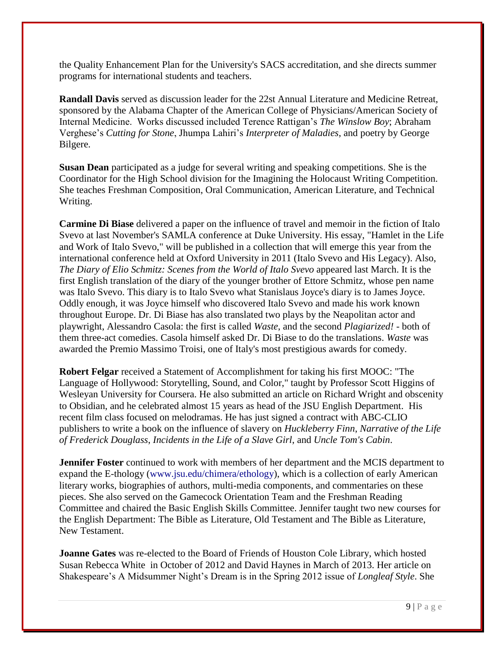the Quality Enhancement Plan for the University's SACS accreditation, and she directs summer programs for international students and teachers.

**Randall Davis** served as discussion leader for the 22st Annual Literature and Medicine Retreat, sponsored by the Alabama Chapter of the American College of Physicians/American Society of Internal Medicine. Works discussed included Terence Rattigan's *The Winslow Boy*; Abraham Verghese's *Cutting for Stone*, Jhumpa Lahiri's *Interpreter of Maladies*, and poetry by George Bilgere.

**Susan Dean** participated as a judge for several writing and speaking competitions. She is the Coordinator for the High School division for the Imagining the Holocaust Writing Competition. She teaches Freshman Composition, Oral Communication, American Literature, and Technical Writing.

**Carmine Di Biase** delivered a paper on the influence of travel and memoir in the fiction of Italo Svevo at last November's SAMLA conference at Duke University. His essay, "Hamlet in the Life and Work of Italo Svevo," will be published in a collection that will emerge this year from the international conference held at Oxford University in 2011 (Italo Svevo and His Legacy). Also, *The Diary of Elio Schmitz: Scenes from the World of Italo Svevo* appeared last March. It is the first English translation of the diary of the younger brother of Ettore Schmitz, whose pen name was Italo Svevo. This diary is to Italo Svevo what Stanislaus Joyce's diary is to James Joyce. Oddly enough, it was Joyce himself who discovered Italo Svevo and made his work known throughout Europe. Dr. Di Biase has also translated two plays by the Neapolitan actor and playwright, Alessandro Casola: the first is called *Waste*, and the second *Plagiarized!* - both of them three-act comedies. Casola himself asked Dr. Di Biase to do the translations. *Waste* was awarded the Premio Massimo Troisi, one of Italy's most prestigious awards for comedy.

**Robert Felgar** received a Statement of Accomplishment for taking his first MOOC: "The Language of Hollywood: Storytelling, Sound, and Color," taught by Professor Scott Higgins of Wesleyan University for Coursera. He also submitted an article on Richard Wright and obscenity to Obsidian, and he celebrated almost 15 years as head of the JSU English Department. His recent film class focused on melodramas. He has just signed a contract with ABC-CLIO publishers to write a book on the influence of slavery on *Huckleberry Finn*, *Narrative of the Life of Frederick Douglass*, *Incidents in the Life of a Slave Girl*, and *Uncle Tom's Cabin*.

**Jennifer Foster** continued to work with members of her department and the MCIS department to expand the E-thology [\(www.jsu.edu/chimera/ethology\)](http://www.jsu.edu/chimera/ethology), which is a collection of early American literary works, biographies of authors, multi-media components, and commentaries on these pieces. She also served on the Gamecock Orientation Team and the Freshman Reading Committee and chaired the Basic English Skills Committee. Jennifer taught two new courses for the English Department: The Bible as Literature, Old Testament and The Bible as Literature, New Testament.

**Joanne Gates** was re-elected to the Board of Friends of Houston Cole Library, which hosted Susan Rebecca White in October of 2012 and David Haynes in March of 2013. Her article on Shakespeare's A Midsummer Night's Dream is in the Spring 2012 issue of *Longleaf Style*. She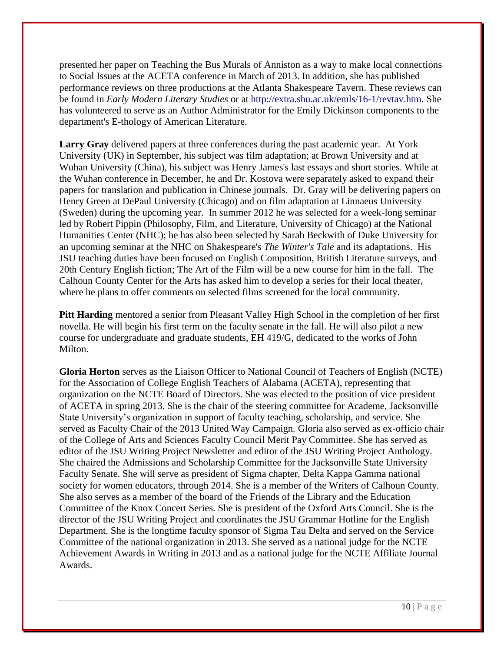presented her paper on Teaching the Bus Murals of Anniston as a way to make local connections to Social Issues at the ACETA conference in March of 2013. In addition, she has published performance reviews on three productions at the Atlanta Shakespeare Tavern. These reviews can be found in *Early Modern Literary Studies* or at [http://extra.shu.ac.uk/emls/16-1/revtav.htm.](http://extra.shu.ac.uk/emls/16-1/revtav.htm) She has volunteered to serve as an Author Administrator for the Emily Dickinson components to the department's E-thology of American Literature.

**Larry Gray** delivered papers at three conferences during the past academic year. At York University (UK) in September, his subject was film adaptation; at Brown University and at Wuhan University (China), his subject was Henry James's last essays and short stories. While at the Wuhan conference in December, he and Dr. Kostova were separately asked to expand their papers for translation and publication in Chinese journals. Dr. Gray will be delivering papers on Henry Green at DePaul University (Chicago) and on film adaptation at Linnaeus University (Sweden) during the upcoming year. In summer 2012 he was selected for a week-long seminar led by Robert Pippin (Philosophy, Film, and Literature, University of Chicago) at the National Humanities Center (NHC); he has also been selected by Sarah Beckwith of Duke University for an upcoming seminar at the NHC on Shakespeare's *The Winter's Tale* and its adaptations. His JSU teaching duties have been focused on English Composition, British Literature surveys, and 20th Century English fiction; The Art of the Film will be a new course for him in the fall. The Calhoun County Center for the Arts has asked him to develop a series for their local theater, where he plans to offer comments on selected films screened for the local community.

**Pitt Harding** mentored a senior from Pleasant Valley High School in the completion of her first novella. He will begin his first term on the faculty senate in the fall. He will also pilot a new course for undergraduate and graduate students, EH 419/G, dedicated to the works of John Milton.

**Gloria Horton** serves as the Liaison Officer to National Council of Teachers of English (NCTE) for the Association of College English Teachers of Alabama (ACETA), representing that organization on the NCTE Board of Directors. She was elected to the position of vice president of ACETA in spring 2013. She is the chair of the steering committee for Academe, Jacksonville State University's organization in support of faculty teaching, scholarship, and service. She served as Faculty Chair of the 2013 United Way Campaign. Gloria also served as ex-officio chair of the College of Arts and Sciences Faculty Council Merit Pay Committee. She has served as editor of the JSU Writing Project Newsletter and editor of the JSU Writing Project Anthology. She chaired the Admissions and Scholarship Committee for the Jacksonville State University Faculty Senate. She will serve as president of Sigma chapter, Delta Kappa Gamma national society for women educators, through 2014. She is a member of the Writers of Calhoun County. She also serves as a member of the board of the Friends of the Library and the Education Committee of the Knox Concert Series. She is president of the Oxford Arts Council. She is the director of the JSU Writing Project and coordinates the JSU Grammar Hotline for the English Department. She is the longtime faculty sponsor of Sigma Tau Delta and served on the Service Committee of the national organization in 2013. She served as a national judge for the NCTE Achievement Awards in Writing in 2013 and as a national judge for the NCTE Affiliate Journal Awards.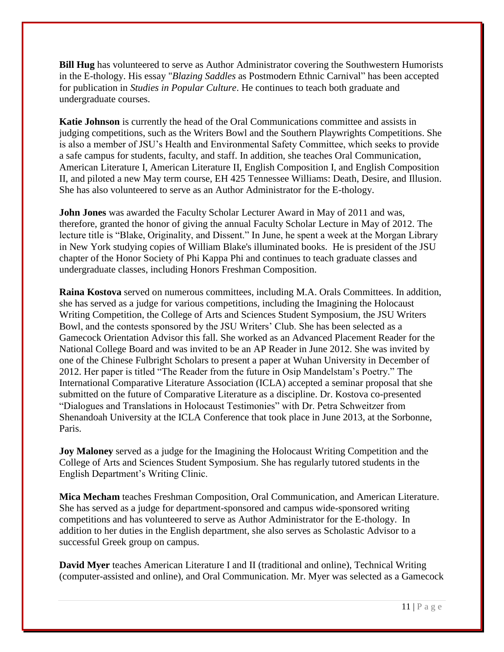**Bill Hug** has volunteered to serve as Author Administrator covering the Southwestern Humorists in the E-thology. His essay "*Blazing Saddles* as Postmodern Ethnic Carnival" has been accepted for publication in *Studies in Popular Culture*. He continues to teach both graduate and undergraduate courses.

**Katie Johnson** is currently the head of the Oral Communications committee and assists in judging competitions, such as the Writers Bowl and the Southern Playwrights Competitions. She is also a member of JSU's Health and Environmental Safety Committee, which seeks to provide a safe campus for students, faculty, and staff. In addition, she teaches Oral Communication, American Literature I, American Literature II, English Composition I, and English Composition II, and piloted a new May term course, EH 425 Tennessee Williams: Death, Desire, and Illusion. She has also volunteered to serve as an Author Administrator for the E-thology.

**John Jones** was awarded the Faculty Scholar Lecturer Award in May of 2011 and was, therefore, granted the honor of giving the annual Faculty Scholar Lecture in May of 2012. The lecture title is "Blake, Originality, and Dissent." In June, he spent a week at the Morgan Library in New York studying copies of William Blake's illuminated books. He is president of the JSU chapter of the Honor Society of Phi Kappa Phi and continues to teach graduate classes and undergraduate classes, including Honors Freshman Composition.

**Raina Kostova** served on numerous committees, including M.A. Orals Committees. In addition, she has served as a judge for various competitions, including the Imagining the Holocaust Writing Competition, the College of Arts and Sciences Student Symposium, the JSU Writers Bowl, and the contests sponsored by the JSU Writers' Club. She has been selected as a Gamecock Orientation Advisor this fall. She worked as an Advanced Placement Reader for the National College Board and was invited to be an AP Reader in June 2012. She was invited by one of the Chinese Fulbright Scholars to present a paper at Wuhan University in December of 2012. Her paper is titled "The Reader from the future in Osip Mandelstam's Poetry." The International Comparative Literature Association (ICLA) accepted a seminar proposal that she submitted on the future of Comparative Literature as a discipline. Dr. Kostova co-presented "Dialogues and Translations in Holocaust Testimonies" with Dr. Petra Schweitzer from Shenandoah University at the ICLA Conference that took place in June 2013, at the Sorbonne, Paris.

**Joy Maloney** served as a judge for the Imagining the Holocaust Writing Competition and the College of Arts and Sciences Student Symposium. She has regularly tutored students in the English Department's Writing Clinic.

**Mica Mecham** teaches Freshman Composition, Oral Communication, and American Literature. She has served as a judge for department-sponsored and campus wide-sponsored writing competitions and has volunteered to serve as Author Administrator for the E-thology. In addition to her duties in the English department, she also serves as Scholastic Advisor to a successful Greek group on campus.

**David Myer** teaches American Literature I and II (traditional and online), Technical Writing (computer-assisted and online), and Oral Communication. Mr. Myer was selected as a Gamecock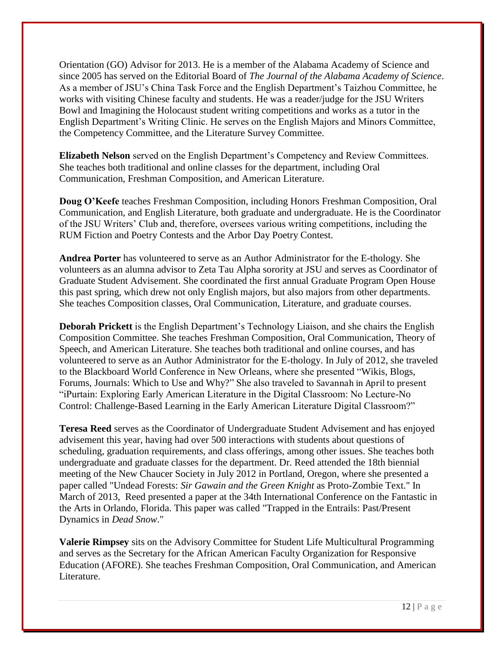Orientation (GO) Advisor for 2013. He is a member of the Alabama Academy of Science and since 2005 has served on the Editorial Board of *The Journal of the Alabama Academy of Science*. As a member of JSU's China Task Force and the English Department's Taizhou Committee, he works with visiting Chinese faculty and students. He was a reader/judge for the JSU Writers Bowl and Imagining the Holocaust student writing competitions and works as a tutor in the English Department's Writing Clinic. He serves on the English Majors and Minors Committee, the Competency Committee, and the Literature Survey Committee.

**Elizabeth Nelson** served on the English Department's Competency and Review Committees. She teaches both traditional and online classes for the department, including Oral Communication, Freshman Composition, and American Literature.

**Doug O'Keefe** teaches Freshman Composition, including Honors Freshman Composition, Oral Communication, and English Literature, both graduate and undergraduate. He is the Coordinator of the JSU Writers' Club and, therefore, oversees various writing competitions, including the RUM Fiction and Poetry Contests and the Arbor Day Poetry Contest.

**Andrea Porter** has volunteered to serve as an Author Administrator for the E-thology*.* She volunteers as an alumna advisor to Zeta Tau Alpha sorority at JSU and serves as Coordinator of Graduate Student Advisement. She coordinated the first annual Graduate Program Open House this past spring, which drew not only English majors, but also majors from other departments. She teaches Composition classes, Oral Communication, Literature, and graduate courses.

**Deborah Prickett** is the English Department's Technology Liaison, and she chairs the English Composition Committee. She teaches Freshman Composition, Oral Communication, Theory of Speech, and American Literature. She teaches both traditional and online courses, and has volunteered to serve as an Author Administrator for the E-thology. In July of 2012, she traveled to the Blackboard World Conference in New Orleans, where she presented "Wikis, Blogs, Forums, Journals: Which to Use and Why?" She also traveled to Savannah in April to present "iPurtain: Exploring Early American Literature in the Digital Classroom: No Lecture-No Control: Challenge-Based Learning in the Early American Literature Digital Classroom?"

**Teresa Reed** serves as the Coordinator of Undergraduate Student Advisement and has enjoyed advisement this year, having had over 500 interactions with students about questions of scheduling, graduation requirements, and class offerings, among other issues. She teaches both undergraduate and graduate classes for the department. Dr. Reed attended the 18th biennial meeting of the New Chaucer Society in July 2012 in Portland, Oregon, where she presented a paper called "Undead Forests: *Sir Gawain and the Green Knight* as Proto-Zombie Text." In March of 2013, Reed presented a paper at the 34th International Conference on the Fantastic in the Arts in Orlando, Florida. This paper was called "Trapped in the Entrails: Past/Present Dynamics in *Dead Snow*."

**Valerie Rimpsey** sits on the Advisory Committee for Student Life Multicultural Programming and serves as the Secretary for the African American Faculty Organization for Responsive Education (AFORE). She teaches Freshman Composition, Oral Communication, and American Literature.